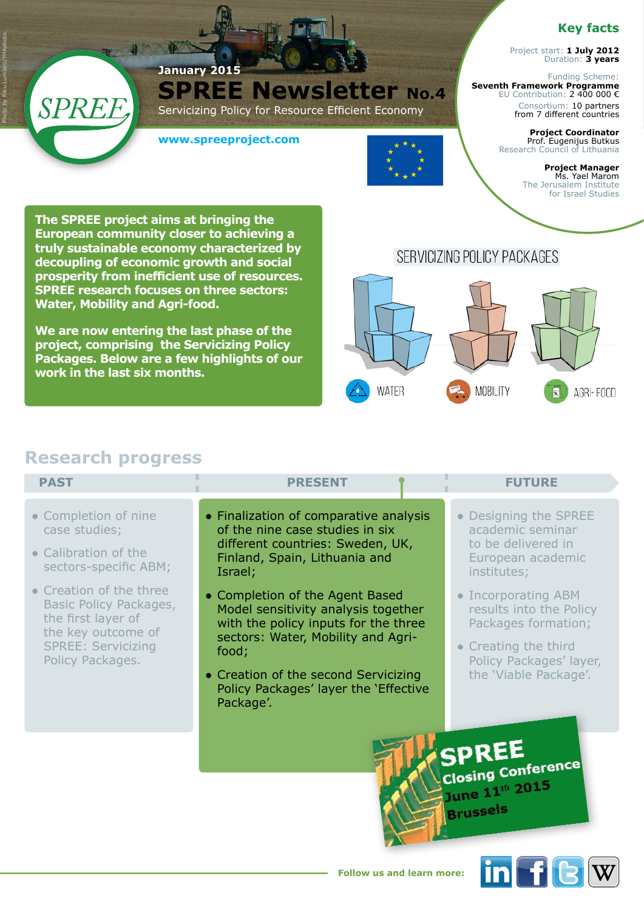### **Key facts**

Project start: **1 July 2012** Duration: **3 years**

Funding Scheme: **Seventh Framework Programme**  EU Contribution: 2 400 000 € Consortium: 10 partners from 7 different countries

> **Project Coordinator** Prof. Eugenijus Butkus Research Council of Lithuania

> > **Project Manager** Ms. Yael Marom The Jerusalem Institute for Israel Studies

**The SPREE project aims at bringing the European community closer to achieving a truly sustainable economy characterized by decoupling of economic growth and social prosperity from inefficient use of resources. SPREE research focuses on three sectors: Water, Mobility and Agri-food.** 

**We are now entering the last phase of the project, comprising the Servicizing Policy Packages. Below are a few highlights of our work in the last six months.** 

# SERVICIZING POLICY PACKAGES



## **Research progress**

**Fir** 

SPREF

Photo by Riku Lumiaro/YHAphoto.

| <b>PAST</b>                                                                                                                                    | <b>PRESENT</b>                                                                                                                                                                                                                                              | <b>FUTURE</b>                                                                                                                                     |
|------------------------------------------------------------------------------------------------------------------------------------------------|-------------------------------------------------------------------------------------------------------------------------------------------------------------------------------------------------------------------------------------------------------------|---------------------------------------------------------------------------------------------------------------------------------------------------|
| • Completion of nine<br>case studies;<br>• Calibration of the<br>sectors-specific ABM;                                                         | • Finalization of comparative analysis<br>of the nine case studies in six<br>different countries: Sweden, UK,<br>Finland, Spain, Lithuania and<br>Israel;                                                                                                   | • Designing the SPREE<br>academic seminar<br>to be delivered in<br>European academic<br>institutes;                                               |
| • Creation of the three<br>Basic Policy Packages,<br>the first layer of<br>the key outcome of<br><b>SPREE: Servicizing</b><br>Policy Packages. | • Completion of the Agent Based<br>Model sensitivity analysis together<br>with the policy inputs for the three<br>sectors: Water, Mobility and Agri-<br>food;<br>• Creation of the second Servicizing<br>Policy Packages' layer the 'Effective<br>Package'. | • Incorporating ABM<br>results into the Policy<br>Packages formation;<br>• Creating the third<br>Policy Packages' layer,<br>the 'Viable Package'. |
|                                                                                                                                                |                                                                                                                                                                                                                                                             | <b>Closing Conference</b><br>June 11th 2015<br><b>Brussels</b>                                                                                    |

**SPREE Newsletter No.4** 

Servicizing Policy for Resource Efficient Economy

**www.spreeproject.com**

**January 2015**



 $\ln$  f  $\epsilon$